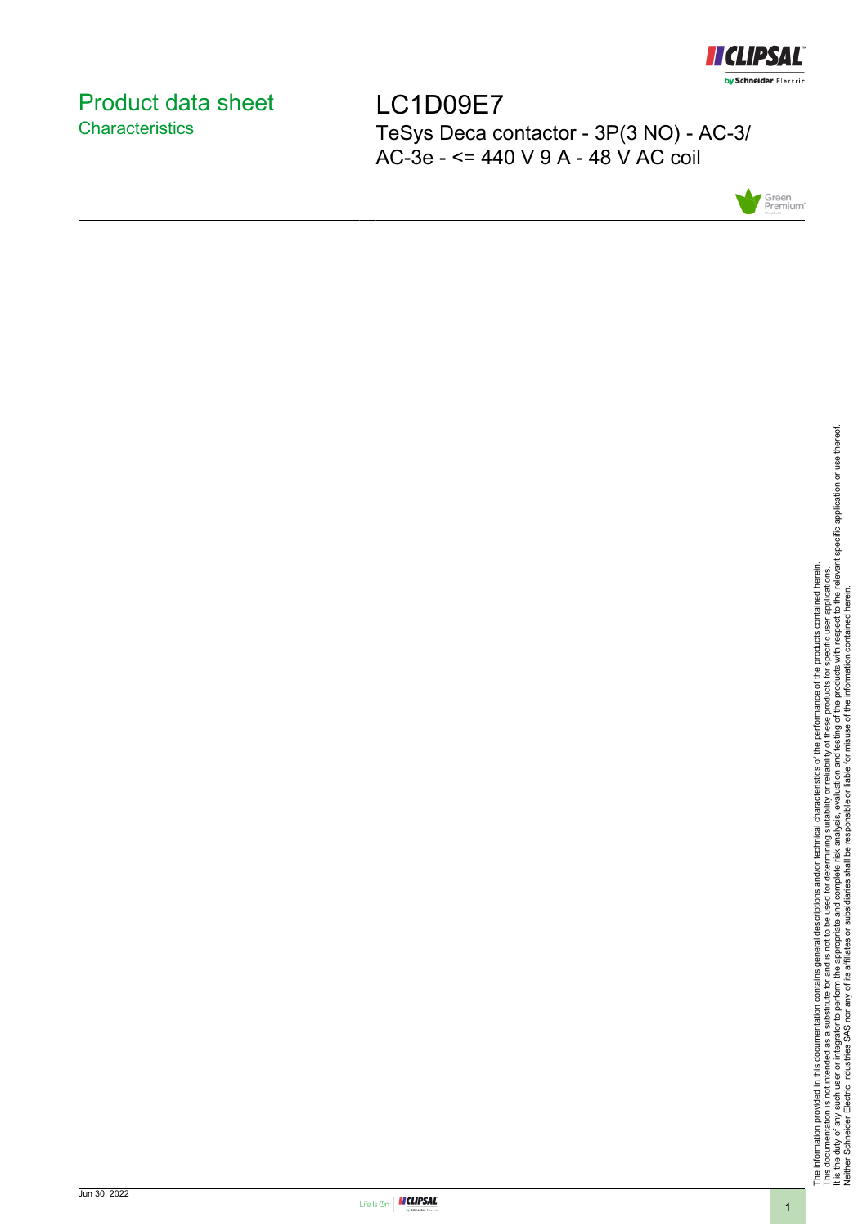

# <span id="page-0-0"></span>Product data sheet **Characteristics**

LC1D09E7 TeSys Deca contactor - 3P(3 NO) - AC-3/ AC-3e - <= 440 V 9 A - 48 V AC coil



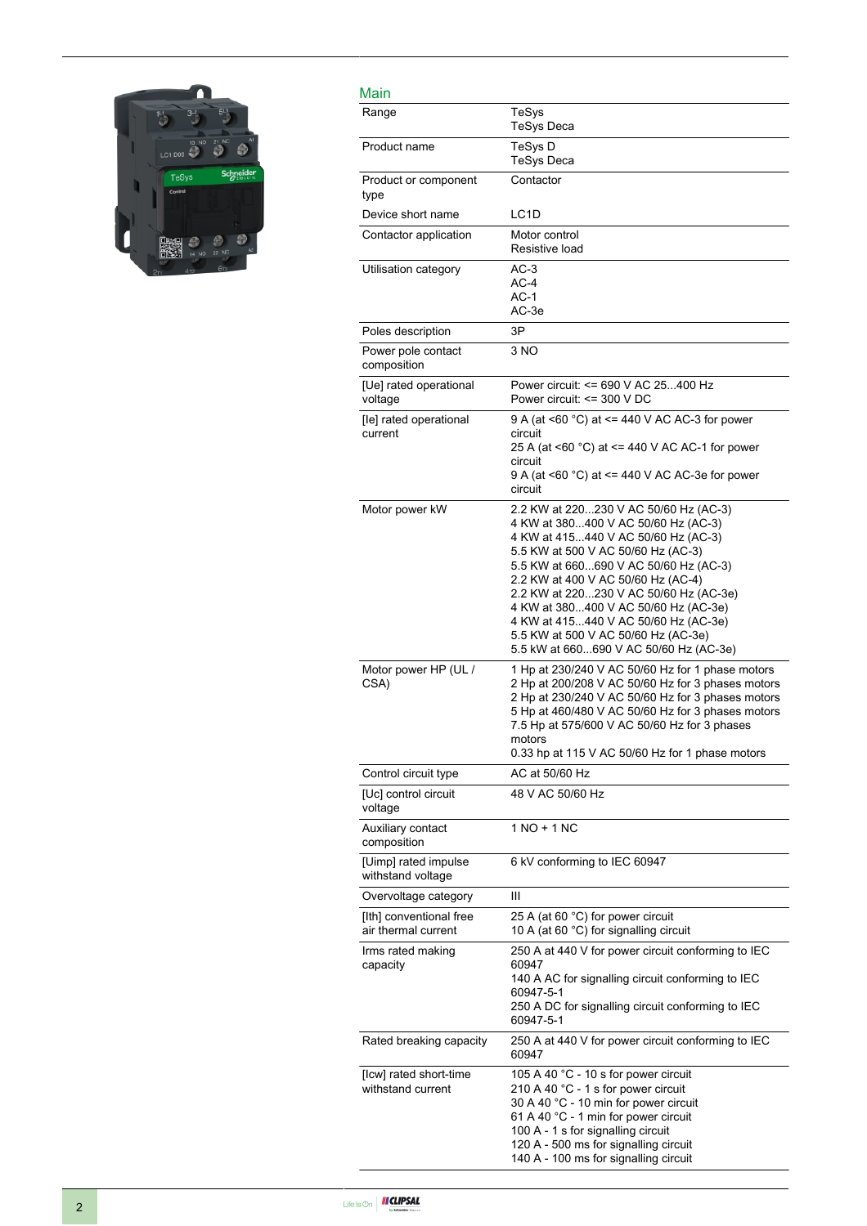

| Main                                           |                                                                                                                                                                                                                                                                                                                                                                                                                                                     |
|------------------------------------------------|-----------------------------------------------------------------------------------------------------------------------------------------------------------------------------------------------------------------------------------------------------------------------------------------------------------------------------------------------------------------------------------------------------------------------------------------------------|
| Range                                          | TeSys<br><b>TeSys Deca</b>                                                                                                                                                                                                                                                                                                                                                                                                                          |
| Product name                                   | TeSys D<br><b>TeSys Deca</b>                                                                                                                                                                                                                                                                                                                                                                                                                        |
| Product or component<br>type                   | Contactor                                                                                                                                                                                                                                                                                                                                                                                                                                           |
| Device short name                              | LC <sub>1</sub> D                                                                                                                                                                                                                                                                                                                                                                                                                                   |
| Contactor application                          | Motor control<br>Resistive load                                                                                                                                                                                                                                                                                                                                                                                                                     |
| Utilisation category                           | $AC-3$<br>$AC-4$<br>AC-1<br>AC-3e                                                                                                                                                                                                                                                                                                                                                                                                                   |
| Poles description                              | 3P                                                                                                                                                                                                                                                                                                                                                                                                                                                  |
| Power pole contact<br>composition              | 3 NO                                                                                                                                                                                                                                                                                                                                                                                                                                                |
| [Ue] rated operational<br>voltage              | Power circuit: <= 690 V AC 25400 Hz<br>Power circuit: <= 300 V DC                                                                                                                                                                                                                                                                                                                                                                                   |
| [le] rated operational<br>current              | 9 A (at <60 °C) at <= 440 V AC AC-3 for power<br>circuit<br>25 A (at <60 °C) at <= 440 V AC AC-1 for power<br>circuit<br>9 A (at <60 °C) at <= 440 V AC AC-3e for power<br>circuit                                                                                                                                                                                                                                                                  |
| Motor power kW                                 | 2.2 KW at 220230 V AC 50/60 Hz (AC-3)<br>4 KW at 380400 V AC 50/60 Hz (AC-3)<br>4 KW at 415440 V AC 50/60 Hz (AC-3)<br>5.5 KW at 500 V AC 50/60 Hz (AC-3)<br>5.5 KW at 660690 V AC 50/60 Hz (AC-3)<br>2.2 KW at 400 V AC 50/60 Hz (AC-4)<br>2.2 KW at 220230 V AC 50/60 Hz (AC-3e)<br>4 KW at 380400 V AC 50/60 Hz (AC-3e)<br>4 KW at 415440 V AC 50/60 Hz (AC-3e)<br>5.5 KW at 500 V AC 50/60 Hz (AC-3e)<br>5.5 kW at 660690 V AC 50/60 Hz (AC-3e) |
| Motor power HP (UL /<br>CSA)                   | 1 Hp at 230/240 V AC 50/60 Hz for 1 phase motors<br>2 Hp at 200/208 V AC 50/60 Hz for 3 phases motors<br>2 Hp at 230/240 V AC 50/60 Hz for 3 phases motors<br>5 Hp at 460/480 V AC 50/60 Hz for 3 phases motors<br>7.5 Hp at 575/600 V AC 50/60 Hz for 3 phases<br>motors<br>0.33 hp at 115 V AC 50/60 Hz for 1 phase motors                                                                                                                        |
| Control circuit type                           | AC at 50/60 Hz                                                                                                                                                                                                                                                                                                                                                                                                                                      |
| [Uc] control circuit<br>voltage                | 48 V AC 50/60 Hz                                                                                                                                                                                                                                                                                                                                                                                                                                    |
| Auxiliary contact<br>composition               | 1 NO + 1 NC                                                                                                                                                                                                                                                                                                                                                                                                                                         |
| [Uimp] rated impulse<br>withstand voltage      | 6 kV conforming to IEC 60947                                                                                                                                                                                                                                                                                                                                                                                                                        |
| Overvoltage category                           | Ш                                                                                                                                                                                                                                                                                                                                                                                                                                                   |
| [Ith] conventional free<br>air thermal current | 25 A (at 60 °C) for power circuit<br>10 A (at 60 °C) for signalling circuit                                                                                                                                                                                                                                                                                                                                                                         |
| Irms rated making<br>capacity                  | 250 A at 440 V for power circuit conforming to IEC<br>60947<br>140 A AC for signalling circuit conforming to IEC<br>60947-5-1<br>250 A DC for signalling circuit conforming to IEC<br>60947-5-1                                                                                                                                                                                                                                                     |
| Rated breaking capacity                        | 250 A at 440 V for power circuit conforming to IEC<br>60947                                                                                                                                                                                                                                                                                                                                                                                         |
| [Icw] rated short-time<br>withstand current    | 105 A 40 °C - 10 s for power circuit<br>210 A 40 °C - 1 s for power circuit<br>30 A 40 °C - 10 min for power circuit<br>61 A 40 °C - 1 min for power circuit<br>100 A - 1 s for signalling circuit<br>120 A - 500 ms for signalling circuit<br>140 A - 100 ms for signalling circuit                                                                                                                                                                |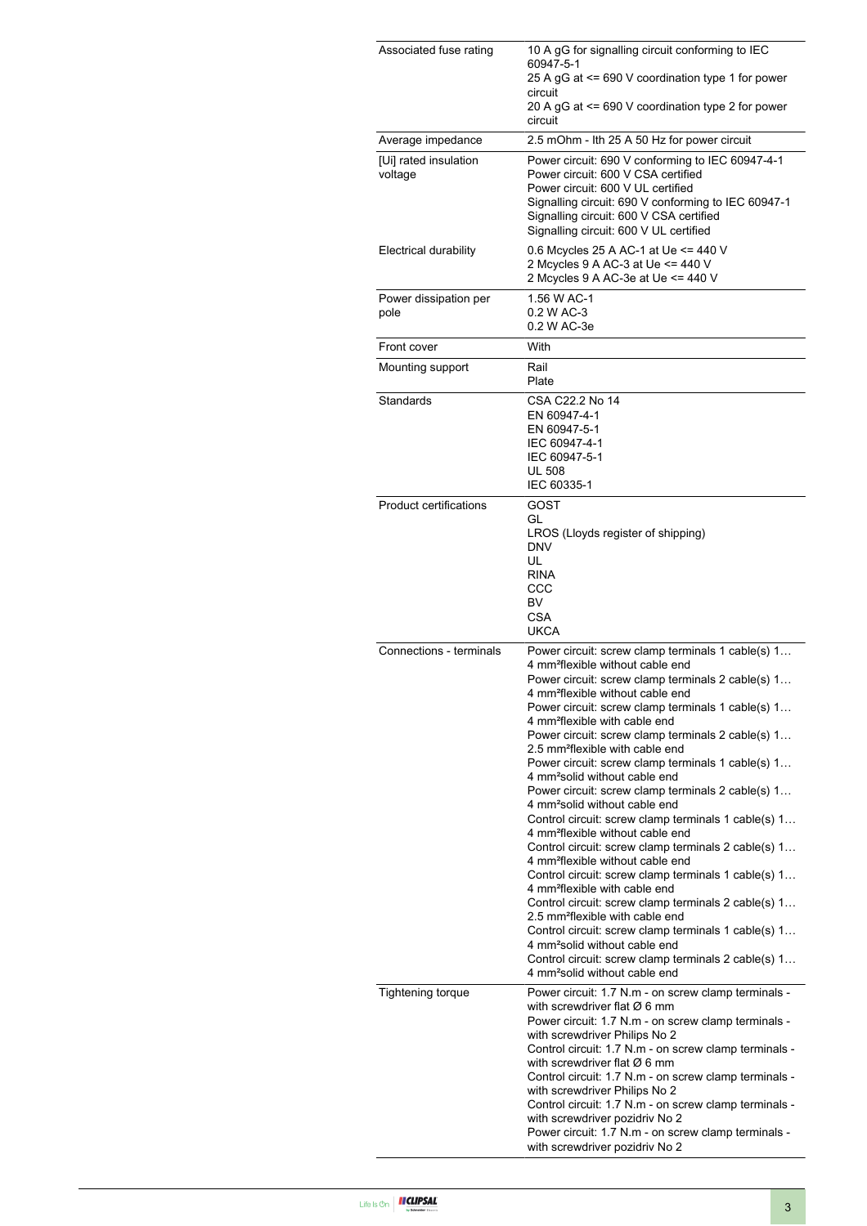| Associated fuse rating           | 10 A gG for signalling circuit conforming to IEC<br>60947-5-1<br>25 A gG at <= 690 V coordination type 1 for power<br>circuit<br>20 A gG at <= 690 V coordination type 2 for power<br>circuit                                                                                                                                                                                                                                                                                                                                                                                                                                                                                                                                                                                                                                                                                                                                                                                                                                                                                                                                                                                                                                                    |  |  |
|----------------------------------|--------------------------------------------------------------------------------------------------------------------------------------------------------------------------------------------------------------------------------------------------------------------------------------------------------------------------------------------------------------------------------------------------------------------------------------------------------------------------------------------------------------------------------------------------------------------------------------------------------------------------------------------------------------------------------------------------------------------------------------------------------------------------------------------------------------------------------------------------------------------------------------------------------------------------------------------------------------------------------------------------------------------------------------------------------------------------------------------------------------------------------------------------------------------------------------------------------------------------------------------------|--|--|
| Average impedance                | 2.5 mOhm - Ith 25 A 50 Hz for power circuit                                                                                                                                                                                                                                                                                                                                                                                                                                                                                                                                                                                                                                                                                                                                                                                                                                                                                                                                                                                                                                                                                                                                                                                                      |  |  |
| [Ui] rated insulation<br>voltage | Power circuit: 690 V conforming to IEC 60947-4-1<br>Power circuit: 600 V CSA certified<br>Power circuit: 600 V UL certified<br>Signalling circuit: 690 V conforming to IEC 60947-1<br>Signalling circuit: 600 V CSA certified<br>Signalling circuit: 600 V UL certified                                                                                                                                                                                                                                                                                                                                                                                                                                                                                                                                                                                                                                                                                                                                                                                                                                                                                                                                                                          |  |  |
| Electrical durability            | 0.6 Mcycles 25 A AC-1 at Ue <= 440 V<br>2 Mcycles 9 A AC-3 at Ue <= 440 V<br>2 Mcycles 9 A AC-3e at Ue <= 440 V                                                                                                                                                                                                                                                                                                                                                                                                                                                                                                                                                                                                                                                                                                                                                                                                                                                                                                                                                                                                                                                                                                                                  |  |  |
| Power dissipation per<br>pole    | 1.56 W AC-1<br>0.2 W AC-3<br>0.2 W AC-3e                                                                                                                                                                                                                                                                                                                                                                                                                                                                                                                                                                                                                                                                                                                                                                                                                                                                                                                                                                                                                                                                                                                                                                                                         |  |  |
| Front cover                      | With                                                                                                                                                                                                                                                                                                                                                                                                                                                                                                                                                                                                                                                                                                                                                                                                                                                                                                                                                                                                                                                                                                                                                                                                                                             |  |  |
| Mounting support                 | Rail<br>Plate                                                                                                                                                                                                                                                                                                                                                                                                                                                                                                                                                                                                                                                                                                                                                                                                                                                                                                                                                                                                                                                                                                                                                                                                                                    |  |  |
| Standards                        | CSA C22.2 No 14<br>EN 60947-4-1<br>EN 60947-5-1<br>IEC 60947-4-1<br>IEC 60947-5-1<br><b>UL 508</b><br>IEC 60335-1                                                                                                                                                                                                                                                                                                                                                                                                                                                                                                                                                                                                                                                                                                                                                                                                                                                                                                                                                                                                                                                                                                                                |  |  |
| <b>Product certifications</b>    | GOST<br>GL<br>LROS (Lloyds register of shipping)<br><b>DNV</b><br>UL<br><b>RINA</b><br>CCC<br>BV<br><b>CSA</b><br><b>UKCA</b>                                                                                                                                                                                                                                                                                                                                                                                                                                                                                                                                                                                                                                                                                                                                                                                                                                                                                                                                                                                                                                                                                                                    |  |  |
| Connections - terminals          | Power circuit: screw clamp terminals 1 cable(s) 1<br>4 mm <sup>2</sup> flexible without cable end<br>Power circuit: screw clamp terminals 2 cable(s) 1<br>4 mm <sup>2</sup> flexible without cable end<br>Power circuit: screw clamp terminals 1 cable(s) 1<br>4 mm <sup>2</sup> flexible with cable end<br>Power circuit: screw clamp terminals 2 cable(s) 1<br>2.5 mm <sup>2</sup> flexible with cable end<br>Power circuit: screw clamp terminals 1 cable(s) 1<br>4 mm <sup>2</sup> solid without cable end<br>Power circuit: screw clamp terminals 2 cable(s) 1<br>4 mm <sup>2</sup> solid without cable end<br>Control circuit: screw clamp terminals 1 cable(s) 1<br>4 mm <sup>2</sup> flexible without cable end<br>Control circuit: screw clamp terminals 2 cable(s) 1<br>4 mm <sup>2</sup> flexible without cable end<br>Control circuit: screw clamp terminals 1 cable(s) 1<br>4 mm <sup>2</sup> flexible with cable end<br>Control circuit: screw clamp terminals 2 cable(s) 1<br>2.5 mm <sup>2</sup> flexible with cable end<br>Control circuit: screw clamp terminals 1 cable(s) 1<br>4 mm <sup>2</sup> solid without cable end<br>Control circuit: screw clamp terminals 2 cable(s) 1<br>4 mm <sup>2</sup> solid without cable end |  |  |
| <b>Tightening torque</b>         | Power circuit: 1.7 N.m - on screw clamp terminals -<br>with screwdriver flat $\varnothing$ 6 mm<br>Power circuit: 1.7 N.m - on screw clamp terminals -<br>with screwdriver Philips No 2<br>Control circuit: 1.7 N.m - on screw clamp terminals -<br>with screwdriver flat $\varnothing$ 6 mm<br>Control circuit: 1.7 N.m - on screw clamp terminals -<br>with screwdriver Philips No 2<br>Control circuit: 1.7 N.m - on screw clamp terminals -<br>with screwdriver pozidriv No 2<br>Power circuit: 1.7 N.m - on screw clamp terminals -<br>with screwdriver pozidriv No 2                                                                                                                                                                                                                                                                                                                                                                                                                                                                                                                                                                                                                                                                       |  |  |

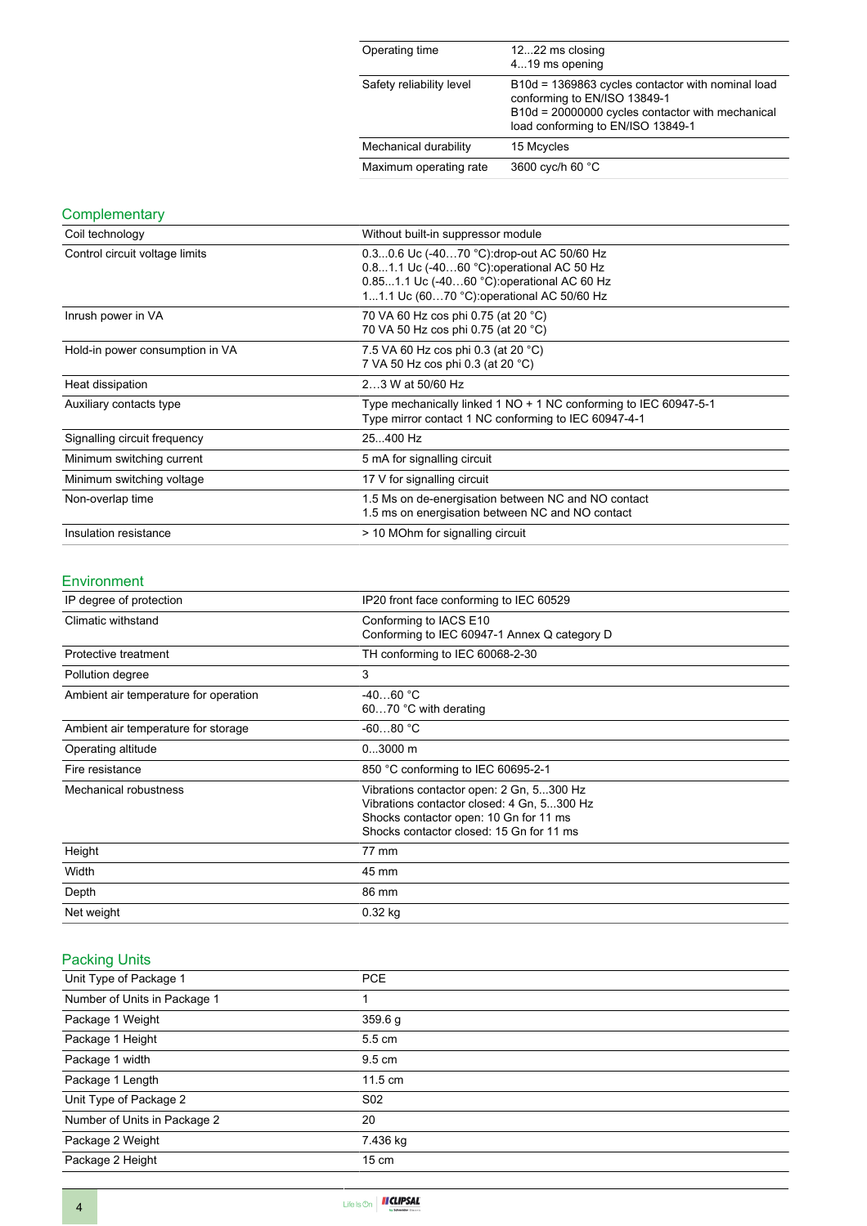| Operating time           | 1222 ms closing<br>419 ms opening                                                                                                                                          |
|--------------------------|----------------------------------------------------------------------------------------------------------------------------------------------------------------------------|
| Safety reliability level | B10d = 1369863 cycles contactor with nominal load<br>conforming to EN/ISO 13849-1<br>B10d = 20000000 cycles contactor with mechanical<br>load conforming to EN/ISO 13849-1 |
| Mechanical durability    | 15 Mcycles                                                                                                                                                                 |
| Maximum operating rate   | 3600 cyc/h 60 °C                                                                                                                                                           |

## **Complementary**

| Coil technology                 | Without built-in suppressor module                                                                                                                                                   |  |  |
|---------------------------------|--------------------------------------------------------------------------------------------------------------------------------------------------------------------------------------|--|--|
| Control circuit voltage limits  | 0.30.6 Uc (-4070 °C): drop-out AC 50/60 Hz<br>0.81.1 Uc (-4060 °C) operational AC 50 Hz<br>0.851.1 Uc (-4060 °C): operational AC 60 Hz<br>11.1 Uc (6070 °C): operational AC 50/60 Hz |  |  |
| Inrush power in VA              | 70 VA 60 Hz cos phi 0.75 (at 20 °C)<br>70 VA 50 Hz cos phi 0.75 (at 20 °C)                                                                                                           |  |  |
| Hold-in power consumption in VA | 7.5 VA 60 Hz cos phi 0.3 (at 20 °C)<br>7 VA 50 Hz cos phi 0.3 (at 20 °C)                                                                                                             |  |  |
| Heat dissipation                | 23 W at 50/60 Hz                                                                                                                                                                     |  |  |
| Auxiliary contacts type         | Type mechanically linked 1 NO + 1 NC conforming to IEC 60947-5-1<br>Type mirror contact 1 NC conforming to IEC 60947-4-1                                                             |  |  |
| Signalling circuit frequency    | 25400 Hz                                                                                                                                                                             |  |  |
| Minimum switching current       | 5 mA for signalling circuit                                                                                                                                                          |  |  |
| Minimum switching voltage       | 17 V for signalling circuit                                                                                                                                                          |  |  |
| Non-overlap time                | 1.5 Ms on de-energisation between NC and NO contact<br>1.5 ms on energisation between NC and NO contact                                                                              |  |  |
| Insulation resistance           | > 10 MOhm for signalling circuit                                                                                                                                                     |  |  |

#### Environment

| IP degree of protection               | IP20 front face conforming to IEC 60529                                                                                                                                      |  |
|---------------------------------------|------------------------------------------------------------------------------------------------------------------------------------------------------------------------------|--|
| Climatic withstand                    | Conforming to IACS E10<br>Conforming to IEC 60947-1 Annex Q category D                                                                                                       |  |
| Protective treatment                  | TH conforming to IEC 60068-2-30                                                                                                                                              |  |
| Pollution degree                      | 3                                                                                                                                                                            |  |
| Ambient air temperature for operation | $-4060 °C$<br>6070 °C with derating                                                                                                                                          |  |
| Ambient air temperature for storage   | $-6080 °C$                                                                                                                                                                   |  |
| Operating altitude                    | $03000$ m                                                                                                                                                                    |  |
| Fire resistance                       | 850 °C conforming to IEC 60695-2-1                                                                                                                                           |  |
| Mechanical robustness                 | Vibrations contactor open: 2 Gn, 5300 Hz<br>Vibrations contactor closed: 4 Gn, 5300 Hz<br>Shocks contactor open: 10 Gn for 11 ms<br>Shocks contactor closed: 15 Gn for 11 ms |  |
| Height                                | 77 mm                                                                                                                                                                        |  |
| Width                                 | 45 mm                                                                                                                                                                        |  |
| Depth                                 | 86 mm                                                                                                                                                                        |  |
| Net weight                            | $0.32$ kg                                                                                                                                                                    |  |

# Packing Units

| Unit Type of Package 1       | <b>PCE</b>      |
|------------------------------|-----------------|
| Number of Units in Package 1 |                 |
| Package 1 Weight             | 359.6 g         |
| Package 1 Height             | 5.5 cm          |
| Package 1 width              | 9.5 cm          |
| Package 1 Length             | 11.5 cm         |
| Unit Type of Package 2       | S <sub>02</sub> |
| Number of Units in Package 2 | 20              |
| Package 2 Weight             | 7.436 kg        |
| Package 2 Height             | $15 \text{ cm}$ |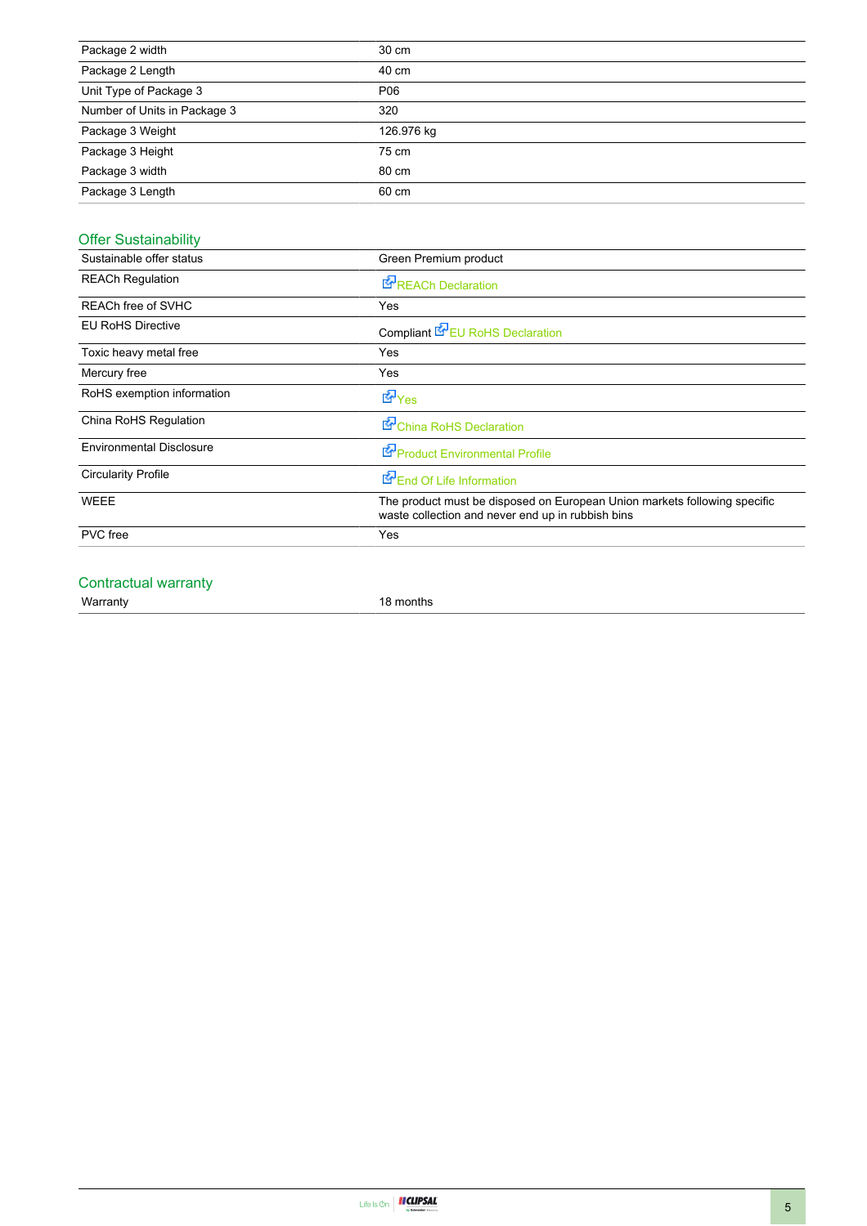| Package 2 width              | 30 cm      |
|------------------------------|------------|
| Package 2 Length             | 40 cm      |
| Unit Type of Package 3       | P06        |
| Number of Units in Package 3 | 320        |
| Package 3 Weight             | 126.976 kg |
| Package 3 Height             | 75 cm      |
| Package 3 width              | 80 cm      |
| Package 3 Length             | 60 cm      |

# Offer Sustainability

| Sustainable offer status        | Green Premium product                                                                                                          |  |  |  |
|---------------------------------|--------------------------------------------------------------------------------------------------------------------------------|--|--|--|
| <b>REACh Regulation</b>         | <b>E</b> REACh Declaration                                                                                                     |  |  |  |
| REACh free of SVHC              | Yes                                                                                                                            |  |  |  |
| <b>EU RoHS Directive</b>        | Compliant <b>E</b> EU RoHS Declaration                                                                                         |  |  |  |
| Toxic heavy metal free          | Yes                                                                                                                            |  |  |  |
| Mercury free                    | Yes                                                                                                                            |  |  |  |
| RoHS exemption information      | <b>E</b> Yes                                                                                                                   |  |  |  |
| China RoHS Regulation           | China RoHS Declaration                                                                                                         |  |  |  |
| <b>Environmental Disclosure</b> | Product Environmental Profile                                                                                                  |  |  |  |
| <b>Circularity Profile</b>      | End Of Life Information                                                                                                        |  |  |  |
| <b>WEEE</b>                     | The product must be disposed on European Union markets following specific<br>waste collection and never end up in rubbish bins |  |  |  |
| <b>PVC</b> free                 | Yes                                                                                                                            |  |  |  |
|                                 |                                                                                                                                |  |  |  |

### Contractual warranty

Warranty 18 months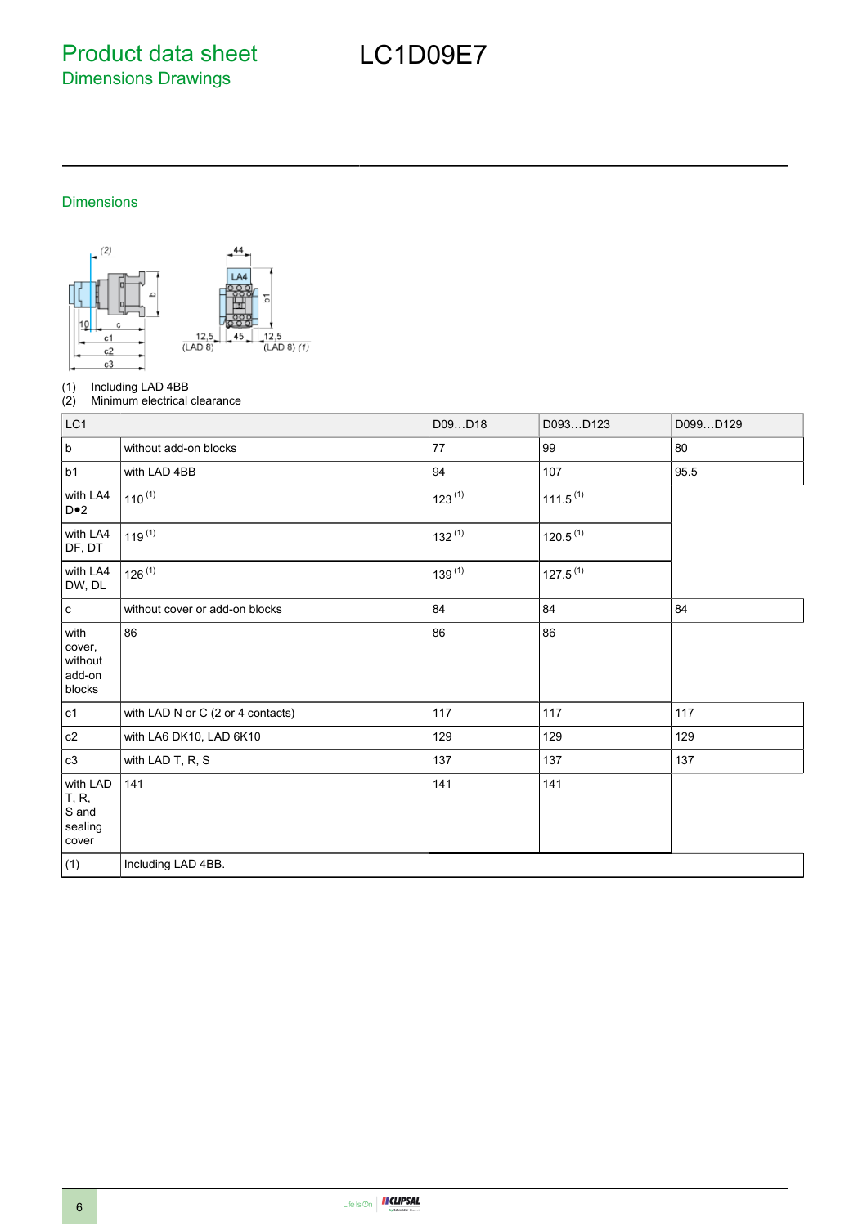Product data sheet Dimensions Drawings

# LC1D09E7

### Dimensions



(1) Including LAD 4BB<br>(2) Minimum electrical

Minimum electrical clearance

| LC1                                            |                                   | D09D18      | D093D123             | D099D129 |
|------------------------------------------------|-----------------------------------|-------------|----------------------|----------|
| $\sf b$                                        | without add-on blocks             | 77          | 99                   | 80       |
| b1                                             | with LAD 4BB                      | 94          | 107                  | 95.5     |
| with LA4<br>$D \bullet 2$                      | $110^{(1)}$                       | $123^{(1)}$ | $111.5^{(1)}$        |          |
| with LA4<br>DF, DT                             | $119^{(1)}$                       | $132^{(1)}$ | 120.5 <sup>(1)</sup> |          |
| with LA4<br>DW, DL                             | $126^{(1)}$                       | $139^{(1)}$ | $127.5^{(1)}$        |          |
| $\mathbf c$                                    | without cover or add-on blocks    | 84          | 84                   | 84       |
| with<br>cover,<br>without<br>add-on<br>blocks  | 86                                | 86          | 86                   |          |
| c1                                             | with LAD N or C (2 or 4 contacts) | 117         | 117                  | 117      |
| c2                                             | with LA6 DK10, LAD 6K10           | 129         | 129                  | 129      |
| c3                                             | with LAD T, R, S                  | 137         | 137                  | 137      |
| with LAD<br>T, R,<br>S and<br>sealing<br>cover | 141                               | 141         | 141                  |          |
| (1)                                            | Including LAD 4BB.                |             |                      |          |